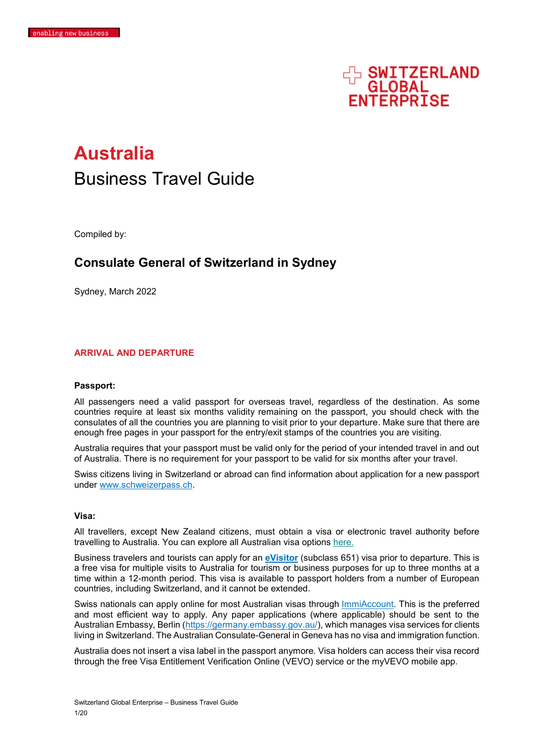

# **Australia** Business Travel Guide

Compiled by:

## **Consulate General of Switzerland in Sydney**

Sydney, March 2022

## **ARRIVAL AND DEPARTURE**

#### **Passport:**

All passengers need a valid passport for overseas travel, regardless of the destination. As some countries require at least six months validity remaining on the passport, you should check with the consulates of all the countries you are planning to visit prior to your departure. Make sure that there are enough free pages in your passport for the entry/exit stamps of the countries you are visiting.

Australia requires that your passport must be valid only for the period of your intended travel in and out of Australia. There is no requirement for your passport to be valid for six months after your travel.

Swiss citizens living in Switzerland or abroad can find information about application for a new passport under [www.schweizerpass.ch.](http://www.schweizerpass.ch/)

#### **Visa:**

All travellers, except New Zealand citizens, must obtain a visa or electronic travel authority before travelling to Australia. You can explore all Australian visa options [here.](https://immi.homeaffairs.gov.au/visas/getting-a-visa/visa-finder)

Business travelers and tourists can apply for an **[eVisitor](https://immi.homeaffairs.gov.au/visas/getting-a-visa/visa-listing/evisitor-651)** (subclass 651) visa prior to departure. This is a free visa for multiple visits to Australia for tourism or business purposes for up to three months at a time within a 12-month period. This visa is available to passport holders from a number of European countries, including Switzerland, and it cannot be extended.

Swiss nationals can apply online for most Australian visas through [ImmiAccount.](https://www.homeaffairs.gov.au/_layouts/15/FIXUPREDIRECT.ASPX?WebId=fdd38918-e08c-4491-bb53-ccceb6c8b69f&TermSetId=b8c60187-5f41-48c0-98a2-10cb7f1b0ea2&TermId=1d726dfe-f720-4fed-b38a-cce78bbf8a6d) This is the preferred and most efficient way to apply. Any paper applications (where applicable) should be sent to the Australian Embassy, Berlin [\(https://germany.embassy.gov.au/\)](https://germany.embassy.gov.au/), which manages visa services for clients living in Switzerland. The Australian Consulate-General in Geneva has no visa and immigration function.

Australia does not insert a visa label in the passport anymore. Visa holders can access their visa record through the free Visa Entitlement Verification Online (VEVO) service or the myVEVO mobile app.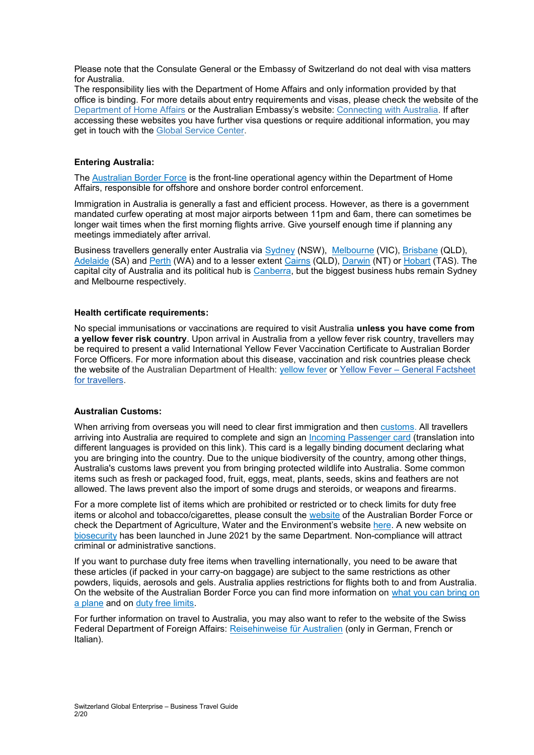Please note that the Consulate General or the Embassy of Switzerland do not deal with visa matters for Australia.

The responsibility lies with the Department of Home Affairs and only information provided by that office is binding. For more details about entry requirements and visas, please check the website of the [Department of Home Affairs](https://covid19.homeaffairs.gov.au/) or the Australian Embassy's website: [Connecting with Australia.](https://germany.embassy.gov.au/beln/Visas_and_Migration.html) If after accessing these websites you have further visa questions or require additional information, you may get in touch with the [Global Service Center.](http://uk.embassy.gov.au/lhlh/IMMI_contact.html)

## **Entering Australia:**

The [Australian Border Force](https://www.abf.gov.au/) is the front-line operational agency within the Department of Home Affairs, responsible for offshore and onshore border control enforcement.

Immigration in Australia is generally a fast and efficient process. However, as there is a government mandated curfew operating at most major airports between 11pm and 6am, there can sometimes be longer wait times when the first morning flights arrive. Give yourself enough time if planning any meetings immediately after arrival.

Business travellers generally enter Australia via [Sydney](https://www.australia.com/en-us/places/sydney-and-surrounds/guide-to-sydney.html) (NSW), [Melbourne](https://www.australia.com/en-us/places/melbourne-and-surrounds/guide-to-melbourne.html) (VIC), [Brisbane](https://www.australia.com/en-us/places/brisbane-and-surrounds/guide-to-brisbane.html) (QLD), [Adelaide](https://www.australia.com/en-us/places/adelaide-and-surrounds/guide-to-adelaide.html) (SA) and [Perth](https://www.australia.com/en-us/places/perth-and-surrounds/guide-to-perth.html) (WA) and to a lesser extent [Cairns](https://www.australia.com/en-us/places/cairns-and-surrounds/guide-to-cairns.html) (QLD), [Darwin](https://www.australia.com/en-us/places/darwin-and-surrounds/guide-to-darwin.html) (NT) or [Hobart](https://www.australia.com/en-us/places/hobart-and-surrounds/guide-to-hobart.html) (TAS). The capital city of Australia and its political hub is [Canberra,](https://www.australia.com/en-us/places/canberra-and-surrounds/guide-to-canberra.html) but the biggest business hubs remain Sydney and Melbourne respectively.

## **Health certificate requirements:**

No special immunisations or vaccinations are required to visit Australia **unless you have come from a yellow fever risk country**. Upon arrival in Australia from a yellow fever risk country, travellers may be required to present a valid International Yellow Fever Vaccination Certificate to Australian Border Force Officers. For more information about this disease, vaccination and risk countries please check the website of the Australian Department of Health: [yellow fever](https://www1.health.gov.au/internet/main/publishing.nsf/Content/ohp-bio-yellow-fever.htm) or Yellow Fever – [General Factsheet](https://www1.health.gov.au/internet/main/publishing.nsf/content/health-pubhlth-strateg-communic-factsheets-yellow.htm)  [for travellers.](https://www1.health.gov.au/internet/main/publishing.nsf/content/health-pubhlth-strateg-communic-factsheets-yellow.htm)

## **Australian Customs:**

When arriving from overseas you will need to clear first immigration and then [customs.](https://www.abf.gov.au/) All travellers arriving into Australia are required to complete and sign an Incoming [Passenger](https://www.abf.gov.au/entering-and-leaving-australia/crossing-the-border/at-the-border/incoming-passenger-card-(ipc)) card (translation into different languages is provided on this link). This card is a legally binding document declaring what you are bringing into the country. Due to the unique biodiversity of the country, among other things, Australia's customs laws prevent you from bringing protected wildlife into Australia. Some common items such as fresh or packaged food, fruit, eggs, meat, plants, seeds, skins and feathers are not allowed. The laws prevent also the import of some drugs and steroids, or weapons and firearms.

For a more complete list of items which are prohibited or restricted or to check limits for duty free items or alcohol and tobacco/cigarettes, please consult the [website](https://www.abf.gov.au/entering-and-leaving-australia/can-you-bring-it-in) of the Australian Border Force or check the Department of Agriculture, Water and the Environment's website [here.](https://www.agriculture.gov.au/travelling/to-australia) A new website on [biosecurity](https://www.biosecurity.gov.au/) has been launched in June 2021 by the same Department. Non-compliance will attract criminal or administrative sanctions.

If you want to purchase duty free items when travelling internationally, you need to be aware that these articles (if packed in your carry-on baggage) are subject to the same [restrictions](http://travelsecure.infrastructure.gov.au/international/lags/index.aspx) as other powders, liquids, aerosols and gels. Australia applies restrictions for flights both to and from Australia. On the website of the Australian Border Force you can find more information on [what you can bring on](https://www.abf.gov.au/entering-and-leaving-australia/can-you-bring-it-in/bring-on-a-plane)  [a plane](https://www.abf.gov.au/entering-and-leaving-australia/can-you-bring-it-in/bring-on-a-plane) and on [duty free limits.](https://immi.homeaffairs.gov.au/entering-and-leaving-australia/entering-australia/duty-free)

For further information on travel to Australia, you may also want to refer to the website of the Swiss Federal Department of Foreign Affairs: [Reisehinweise für Australien](https://www.eda.admin.ch/eda/de/home/vertretungen-und-reisehinweise/australien/reisehinweise-fueraustralien.html) (only in German, French or Italian).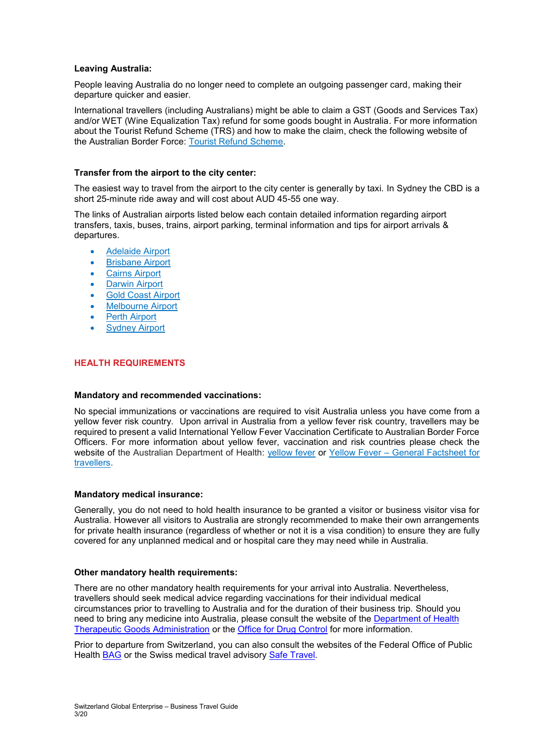## **Leaving Australia:**

People leaving Australia do no longer need to complete an outgoing passenger card, making their departure quicker and easier.

International travellers (including Australians) might be able to claim a GST (Goods and Services Tax) and/or WET (Wine Equalization Tax) refund for some goods bought in Australia. For more information about the Tourist Refund Scheme (TRS) and how to make the claim, check the following website of the Australian Border Force: [Tourist Refund Scheme.](https://www.abf.gov.au/entering-and-leaving-australia/tourist-refund-scheme)

## **Transfer from the airport to the city center:**

The easiest way to travel from the airport to the city center is generally by taxi. In Sydney the CBD is a short 25-minute ride away and will cost about AUD 45-55 one way.

The links of Australian airports listed below each contain detailed information regarding airport transfers, taxis, buses, trains, airport parking, terminal information and tips for airport arrivals & departures.

- [Adelaide Airport](https://www.webjet.co.nz/destinations/adelaide-airport/)
- [Brisbane Airport](https://www.webjet.co.nz/destinations/brisbane-airport/)
- [Cairns Airport](https://www.webjet.co.nz/destinations/cairns-airport/)
- [Darwin Airport](https://www.webjet.co.nz/destinations/darwin-airport/)
- [Gold Coast Airport](https://www.webjet.co.nz/destinations/gold-coast-airport/)
- [Melbourne Airport](https://www.webjet.co.nz/destinations/melbourne-airport/)
- [Perth Airport](https://www.webjet.co.nz/destinations/perth-airport/)
- [Sydney Airport](https://www.webjet.co.nz/destinations/sydney-airport/)

## **HEALTH REQUIREMENTS**

## **Mandatory and recommended vaccinations:**

No special immunizations or vaccinations are required to visit Australia unless you have come from a yellow fever risk country. Upon arrival in Australia from a yellow fever risk country, travellers may be required to present a valid International Yellow Fever Vaccination Certificate to Australian Border Force Officers. For more information about yellow fever, vaccination and risk countries please check the website of the Australian Department of Health: [yellow fever](https://www1.health.gov.au/internet/main/publishing.nsf/Content/ohp-bio-yellow-fever.htm) or Yellow Fever – General Factsheet for [travellers.](https://www1.health.gov.au/internet/main/publishing.nsf/content/health-pubhlth-strateg-communic-factsheets-yellow.htm)

## **Mandatory medical insurance:**

Generally, you do not need to hold health insurance to be granted a visitor or business visitor visa for Australia. However all visitors to Australia are strongly recommended to make their own arrangements for private health insurance (regardless of whether or not it is a visa condition) to ensure they are fully covered for any unplanned medical and or hospital care they may need while in Australia.

## **Other mandatory health requirements:**

There are no other mandatory health requirements for your arrival into Australia. Nevertheless, travellers should seek medical advice regarding vaccinations for their individual medical circumstances prior to travelling to Australia and for the duration of their business trip. Should you need to bring any medicine into Australia, please consult the website of the [Department of Health](https://www.tga.gov.au/entering-australia)  [Therapeutic Goods Administration](https://www.tga.gov.au/entering-australia) or the [Office for Drug Control](https://www.odc.gov.au/travellers#travelling-to) for more information.

Prior to departure from Switzerland, you can also consult the websites of the Federal Office of Public Health [BAG](http://www.bag.admin.ch/themen/medizin/00682/00685/03062/index.html?lang=de) or the Swiss medical travel advisory [Safe Travel.](http://www.safetravel.ch/)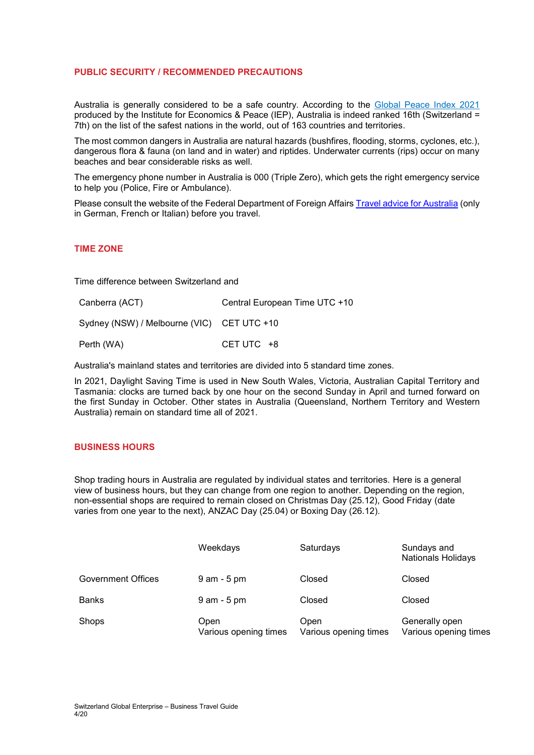## **PUBLIC SECURITY / RECOMMENDED PRECAUTIONS**

Australia is generally considered to be a safe country. According to the [Global Peace Index 2021](https://www.economicsandpeace.org/wp-content/uploads/2021/06/GPI-2021-web.pdf) produced by the Institute for Economics & Peace (IEP), Australia is indeed ranked 16th (Switzerland = 7th) on the list of the safest nations in the world, out of 163 countries and territories.

The most common dangers in Australia are natural hazards (bushfires, flooding, storms, cyclones, etc.), dangerous flora & fauna (on land and in water) and riptides. Underwater currents (rips) occur on many beaches and bear considerable risks as well.

The emergency phone number in Australia is 000 (Triple Zero), which gets the right emergency service to help you (Police, Fire or Ambulance).

Please consult the website of the Federal Department of Foreign Affairs [Travel advice for Australia](https://www.eda.admin.ch/eda/de/home/vertretungen-und-reisehinweise/australien/reisehinweise-fueraustralien.html) (only in German, French or Italian) before you travel.

## **TIME ZONE**

Time difference between Switzerland and

| Canberra (ACT)                             | Central European Time UTC +10 |
|--------------------------------------------|-------------------------------|
| Sydney (NSW) / Melbourne (VIC) CET UTC +10 |                               |
| Perth (WA)                                 | CET UTC $+8$                  |

Australia's mainland states and territories are divided into 5 standard time zones.

In 2021, Daylight Saving Time is used in New South Wales, Victoria, Australian Capital Territory and Tasmania: clocks are turned back by one hour on the second Sunday in April and turned forward on the first Sunday in October. Other states in Australia (Queensland, Northern Territory and Western Australia) remain on standard time all of 2021.

## **BUSINESS HOURS**

Shop trading hours in Australia are regulated by individual states and territories. Here is a general view of business hours, but they can change from one region to another. Depending on the region, non-essential shops are required to remain closed on Christmas Day (25.12), Good Friday (date varies from one year to the next), ANZAC Day (25.04) or Boxing Day (26.12).

|                           | Weekdays                      | Saturdays                     | Sundays and<br><b>Nationals Holidays</b> |
|---------------------------|-------------------------------|-------------------------------|------------------------------------------|
| <b>Government Offices</b> | $9$ am - $5$ pm               | Closed                        | Closed                                   |
| Banks                     | $9$ am - $5$ pm               | Closed                        | Closed                                   |
| Shops                     | Open<br>Various opening times | Open<br>Various opening times | Generally open<br>Various opening times  |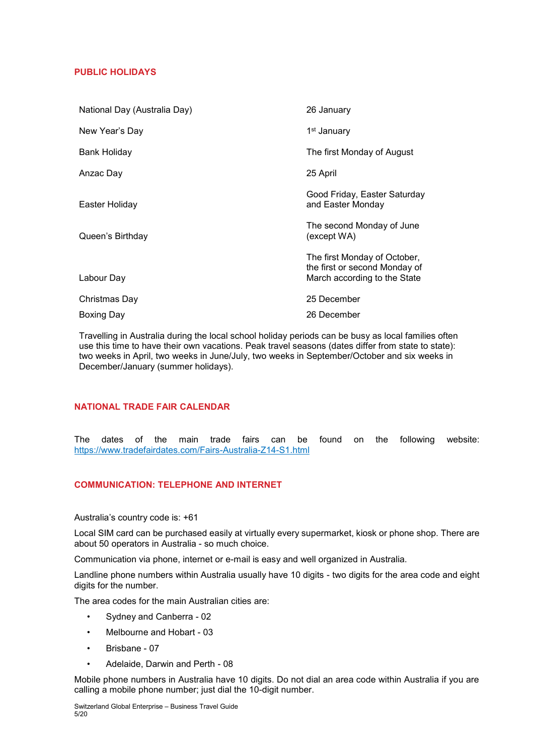## **PUBLIC HOLIDAYS**

| National Day (Australia Day) | 26 January                                                                                    |
|------------------------------|-----------------------------------------------------------------------------------------------|
| New Year's Day               | 1 <sup>st</sup> January                                                                       |
| Bank Holiday                 | The first Monday of August                                                                    |
| Anzac Day                    | 25 April                                                                                      |
| Easter Holiday               | Good Friday, Easter Saturday<br>and Easter Monday                                             |
| Queen's Birthday             | The second Monday of June<br>(except WA)                                                      |
| Labour Day                   | The first Monday of October,<br>the first or second Monday of<br>March according to the State |
| Christmas Day                | 25 December                                                                                   |
| Boxing Day                   | 26 December                                                                                   |

Travelling in Australia during the local school holiday periods can be busy as local families often use this time to have their own vacations. Peak travel seasons (dates differ from state to state): two weeks in April, two weeks in June/July, two weeks in September/October and six weeks in December/January (summer holidays).

## **NATIONAL TRADE FAIR CALENDAR**

The dates of the main trade fairs can be found on the following website: <https://www.tradefairdates.com/Fairs-Australia-Z14-S1.html>

## **COMMUNICATION: TELEPHONE AND INTERNET**

Australia's country code is: +61

Local SIM card can be purchased easily at virtually every supermarket, kiosk or phone shop. There are about 50 operators in Australia - so much choice.

Communication via phone, internet or e-mail is easy and well organized in Australia.

Landline phone numbers within Australia usually have 10 digits - two digits for the area code and eight digits for the number.

The area codes for the main Australian cities are:

- Sydney and Canberra 02
- Melbourne and Hobart 03
- Brisbane 07
- Adelaide, Darwin and Perth 08

Mobile phone numbers in Australia have 10 digits. Do not dial an area code within Australia if you are calling a mobile phone number; just dial the 10-digit number.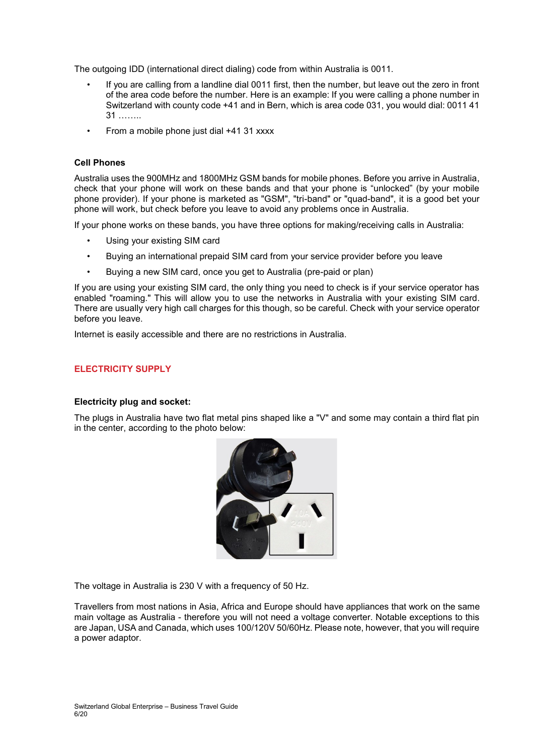The outgoing IDD (international direct dialing) code from within Australia is 0011.

- If you are calling from a landline dial 0011 first, then the number, but leave out the zero in front of the area code before the number. Here is an example: If you were calling a phone number in Switzerland with county code +41 and in Bern, which is area code 031, you would dial: 0011 41 31 ……..
- From a mobile phone just dial +41 31 xxxx

## **Cell Phones**

Australia uses the 900MHz and 1800MHz GSM bands for mobile phones. Before you arrive in Australia, check that your phone will work on these bands and that your phone is "unlocked" (by your mobile phone provider). If your phone is marketed as "GSM", "tri-band" or "quad-band", it is a good bet your phone will work, but check before you leave to avoid any problems once in Australia.

If your phone works on these bands, you have three options for making/receiving calls in Australia:

- Using your existing SIM card
- Buying an international prepaid SIM card from your service provider before you leave
- Buying a new SIM card, once you get to Australia (pre-paid or plan)

If you are using your existing SIM card, the only thing you need to check is if your service operator has enabled "roaming." This will allow you to use the networks in Australia with your existing SIM card. There are usually very high call charges for this though, so be careful. Check with your service operator before you leave.

Internet is easily accessible and there are no restrictions in Australia.

## **ELECTRICITY SUPPLY**

## **Electricity plug and socket:**

The plugs in Australia have two flat metal pins shaped like a "V" and some may contain a third flat pin in the center, according to the photo below:



The voltage in Australia is 230 V with a frequency of 50 Hz.

Travellers from most nations in Asia, Africa and Europe should have appliances that work on the same main voltage as Australia - therefore you will not need a voltage converter. Notable exceptions to this are Japan, USA and Canada, which uses 100/120V 50/60Hz. Please note, however, that you will require a power adaptor.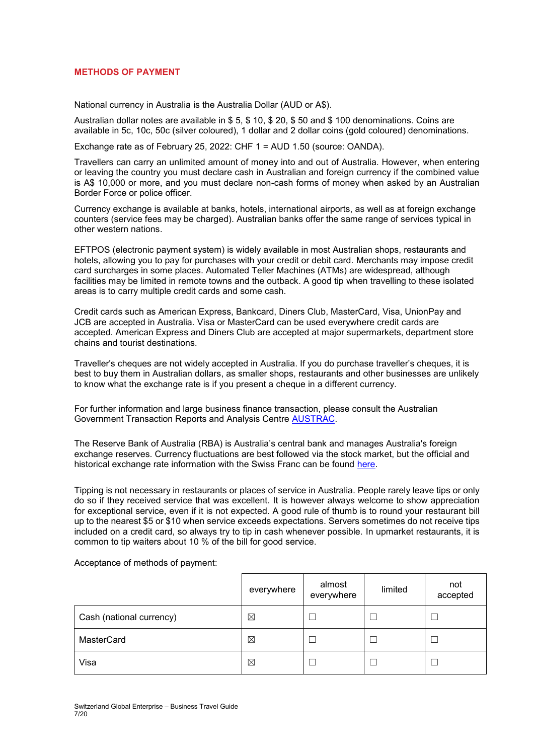## **METHODS OF PAYMENT**

National currency in Australia is the Australia Dollar (AUD or A\$).

Australian dollar notes are available in \$ 5, \$ 10, \$ 20, \$ 50 and \$ 100 denominations. Coins are available in 5c, 10c, 50c (silver coloured), 1 dollar and 2 dollar coins (gold coloured) denominations.

Exchange rate as of February 25, 2022: CHF 1 = AUD 1.50 (source: OANDA).

Travellers can carry an unlimited amount of money into and out of Australia. However, when entering or leaving the country you must declare cash in Australian and foreign currency if the combined value is A\$ 10,000 or more, and you must declare non-cash forms of money when asked by an Australian Border Force or police officer.

Currency exchange is available at banks, hotels, international airports, as well as at foreign exchange counters (service fees may be charged). Australian banks offer the same range of services typical in other western nations.

EFTPOS (electronic payment system) is widely available in most Australian shops, restaurants and hotels, allowing you to pay for purchases with your credit or debit card. Merchants may impose credit card surcharges in some places. Automated Teller Machines (ATMs) are widespread, although facilities may be limited in remote towns and the outback. A good tip when travelling to these isolated areas is to carry multiple credit cards and some cash.

Credit cards such as American Express, Bankcard, Diners Club, MasterCard, Visa, UnionPay and JCB are accepted in Australia. Visa or MasterCard can be used everywhere credit cards are accepted. American Express and Diners Club are accepted at major supermarkets, department store chains and tourist destinations.

Traveller's cheques are not widely accepted in Australia. If you do purchase traveller's cheques, it is best to buy them in Australian dollars, as smaller shops, restaurants and other businesses are unlikely to know what the exchange rate is if you present a cheque in a different currency.

For further information and large business finance transaction, please consult the Australian Government Transaction Reports and Analysis Centre [AUSTRAC.](https://www.austrac.gov.au/)

The Reserve Bank of Australia (RBA) is Australia's central bank and manages Australia's foreign exchange reserves. Currency fluctuations are best followed via the stock market, but the official and historical exchange rate information with the Swiss Franc can be found [here.](http://www.rba.gov.au/statistics/historical-data.html#exchange-rates)

Tipping is not necessary in restaurants or places of service in Australia. People rarely leave tips or only do so if they received service that was excellent. It is however always welcome to show appreciation for exceptional service, even if it is not expected. A good rule of thumb is to round your restaurant bill up to the nearest \$5 or \$10 when service exceeds expectations. Servers sometimes do not receive tips included on a credit card, so always try to tip in cash whenever possible. In upmarket restaurants, it is common to tip waiters about 10 % of the bill for good service.

Acceptance of methods of payment:

|                          | everywhere | almost<br>everywhere | limited | not<br>accepted |
|--------------------------|------------|----------------------|---------|-----------------|
| Cash (national currency) | ⊠          |                      |         |                 |
| MasterCard               | ⊠          |                      |         |                 |
| Visa                     | ⊠          |                      |         |                 |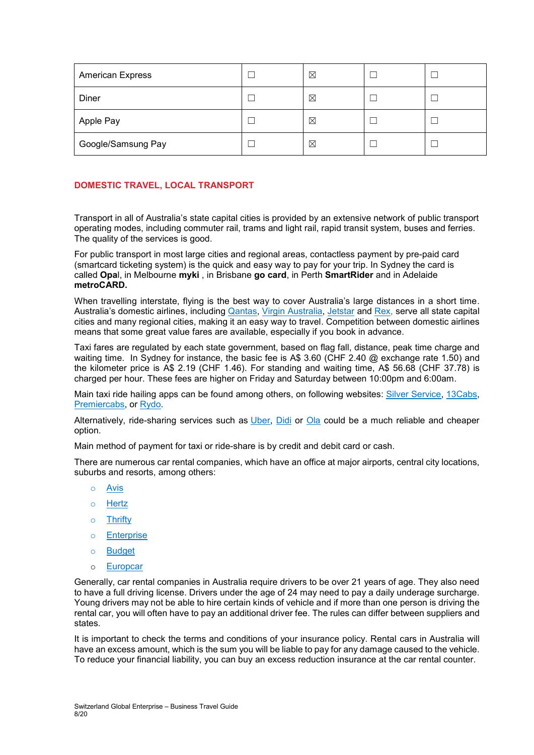| <b>American Express</b> | ⊠ |  |
|-------------------------|---|--|
| Diner                   | ⊠ |  |
| Apple Pay               | ⊠ |  |
| Google/Samsung Pay      | ⊠ |  |

## **DOMESTIC TRAVEL, LOCAL TRANSPORT**

Transport in all of Australia's state capital cities is provided by an extensive network of public transport operating modes, including commuter rail, trams and light rail, rapid transit system, buses and ferries. The quality of the services is good.

For public transport in most large cities and regional areas, contactless payment by pre-paid card (smartcard ticketing system) is the quick and easy way to pay for your trip. In Sydney the card is called **Opa**l, in Melbourne **myki** , in Brisbane **go card**, in Perth **SmartRider** and in Adelaide **metroCARD.**

When travelling interstate, flying is the best way to cover Australia's large distances in a short time. Australia's domestic airlines, including [Qantas,](https://www.qantas.com/au/en.html) [Virgin Australia,](https://www.virginaustralia.com/au/en/) [Jetstar](https://www.jetstar.com/au/en/home) and [Rex,](http://www.rex.com.au/) serve all state capital cities and many regional cities, making it an easy way to travel. Competition between domestic airlines means that some great value fares are available, especially if you book in advance.

Taxi fares are regulated by each state government, based on flag fall, distance, peak time charge and waiting time. In Sydney for instance, the basic fee is A\$ 3.60 (CHF 2.40 @ exchange rate 1.50) and the kilometer price is A\$ 2.19 (CHF 1.46). For standing and waiting time, A\$ 56.68 (CHF 37.78) is charged per hour. These fees are higher on Friday and Saturday between 10:00pm and 6:00am.

Main taxi ride hailing apps can be found among others, on following websites: [Silver Service,](https://apps.apple.com/au/app/silver-service/id353470074) [13Cabs,](https://m.13cabs.com.au/) [Premiercabs,](https://www.premiercabs.com.au/) or [Rydo.](https://www.rydo.com.au/)

Alternatively, ride-sharing services such as [Uber,](https://www.uber.com.au/) [Didi](https://australia.didiglobal.com/) or [Ola](https://ola.com.au/) could be a much reliable and cheaper option.

Main method of payment for taxi or ride-share is by credit and debit card or cash.

There are numerous car rental companies, which have an office at major airports, central city locations, suburbs and resorts, among others:

- o [Avis](https://www.avis.com.au/en/home)
- o [Hertz](https://www.hertz.com.au/p/hire-a-car/australia)
- o [Thrifty](https://www.thrifty.com.au/)
- o [Enterprise](https://www.enterprise.com/en/car-rental/locations/australia.html)
- o [Budget](https://www.budget.com.au/en/home)
- o [Europcar](https://www.europcar.com.au/en-au)

Generally, car rental companies in Australia require drivers to be over 21 years of age. They also need to have a full driving license. Drivers under the age of 24 may need to pay a daily underage surcharge. Young drivers may not be able to hire certain kinds of vehicle and if more than one person is driving the rental car, you will often have to pay an additional driver fee. The rules can differ between suppliers and states.

It is important to check the terms and conditions of your insurance policy. Rental cars in Australia will have an excess amount, which is the sum you will be liable to pay for any damage caused to the vehicle. To reduce your financial liability, you can buy an excess reduction insurance at the car rental counter.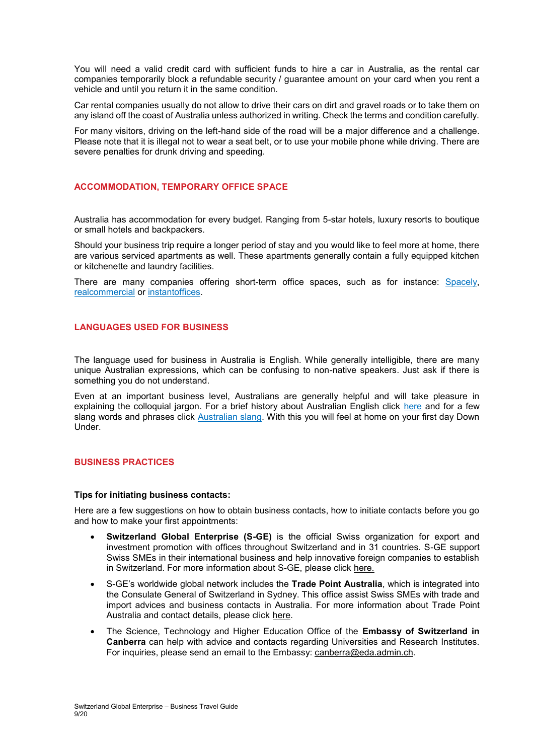You will need a valid credit card with sufficient funds to hire a car in Australia, as the rental car companies temporarily block a refundable security / guarantee amount on your card when you rent a vehicle and until you return it in the same condition.

Car rental companies usually do not allow to drive their cars on dirt and gravel roads or to take them on any island off the coast of Australia unless authorized in writing. Check the terms and condition carefully.

For many visitors, driving on the left-hand side of the road will be a major difference and a challenge. Please note that it is illegal not to wear a seat belt, or to use your mobile phone while driving. There are severe penalties for drunk driving and speeding.

## **ACCOMMODATION, TEMPORARY OFFICE SPACE**

Australia has accommodation for every budget. Ranging from 5-star hotels, luxury resorts to boutique or small hotels and backpackers.

Should your business trip require a longer period of stay and you would like to feel more at home, there are various serviced apartments as well. These apartments generally contain a fully equipped kitchen or kitchenette and laundry facilities.

There are many companies offering short-term office spaces, such as for instance: [Spacely,](https://www.spacely.com.au/office-space/) [realcommercial](https://www.realcommercial.com.au/short-term-workspace/) or [instantoffices.](https://www.instantoffices.com/en/au)

## **LANGUAGES USED FOR BUSINESS**

The language used for business in Australia is English. While generally intelligible, there are many unique Australian expressions, which can be confusing to non-native speakers. Just ask if there is something you do not understand.

Even at an important business level, Australians are generally helpful and will take pleasure in explaining the colloquial jargon. For a brief history about Australian English click [here](https://www.australiaunwrapped.com/the-history-of-australian-slang/) and for a few slang words and phrases click [Australian slang.](http://www.koalanet.com.au/australian-slang.html) With this you will feel at home on your first day Down Under.

## **BUSINESS PRACTICES**

#### **Tips for initiating business contacts:**

Here are a few suggestions on how to obtain business contacts, how to initiate contacts before you go and how to make your first appointments:

- **Switzerland Global Enterprise (S-GE)** is the official Swiss organization for export and investment promotion with offices throughout Switzerland and in 31 countries. S-GE support Swiss SMEs in their international business and help innovative foreign companies to establish in Switzerland. For more information about S-GE, please click [here.](https://www.s-ge.com/en)
- S-GE's worldwide global network includes the **Trade Point Australia**, which is integrated into the Consulate General of Switzerland in Sydney. This office assist Swiss SMEs with trade and import advices and business contacts in Australia. For more information about Trade Point Australia and contact details, please click [here.](https://www.s-ge.com/en/company/trade-point-australia)
- The Science, Technology and Higher Education Office of the **Embassy of Switzerland in Canberra** can help with advice and contacts regarding Universities and Research Institutes. For inquiries, please send an email to the Embassy: [canberra@eda.admin.ch.](mailto:canberra@eda.admin.ch)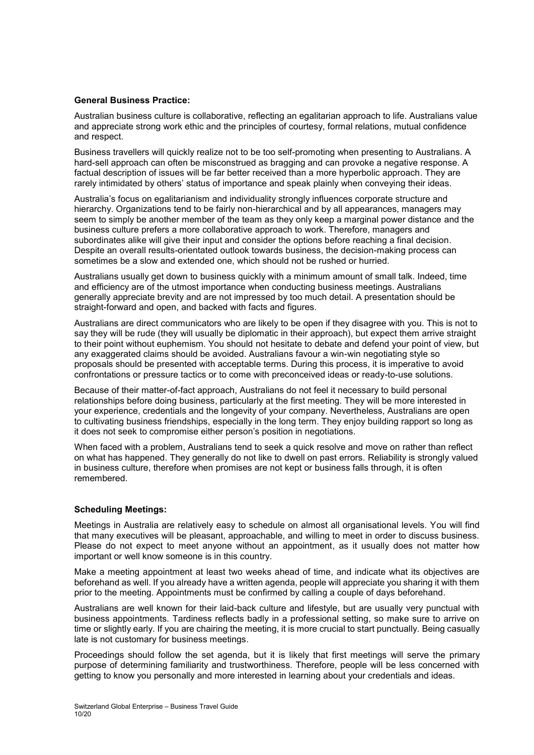## **General Business Practice:**

Australian business culture is collaborative, reflecting an egalitarian approach to life. Australians value and appreciate strong work ethic and the principles of courtesy, formal relations, mutual confidence and respect.

Business travellers will quickly realize not to be too self-promoting when presenting to Australians. A hard-sell approach can often be misconstrued as bragging and can provoke a negative response. A factual description of issues will be far better received than a more hyperbolic approach. They are rarely intimidated by others' status of importance and speak plainly when conveying their ideas.

Australia's focus on egalitarianism and individuality strongly influences corporate structure and hierarchy. Organizations tend to be fairly non-hierarchical and by all appearances, managers may seem to simply be another member of the team as they only keep a marginal power distance and the business culture prefers a more collaborative approach to work. Therefore, managers and subordinates alike will give their input and consider the options before reaching a final decision. Despite an overall results-orientated outlook towards business, the decision-making process can sometimes be a slow and extended one, which should not be rushed or hurried.

Australians usually get down to business quickly with a minimum amount of small talk. Indeed, time and efficiency are of the utmost importance when conducting business meetings. Australians generally appreciate brevity and are not impressed by too much detail. A presentation should be straight-forward and open, and backed with facts and figures.

Australians are direct communicators who are likely to be open if they disagree with you. This is not to say they will be rude (they will usually be diplomatic in their approach), but expect them arrive straight to their point without euphemism. You should not hesitate to debate and defend your point of view, but any exaggerated claims should be avoided. Australians favour a win-win negotiating style so proposals should be presented with acceptable terms. During this process, it is imperative to avoid confrontations or pressure tactics or to come with preconceived ideas or ready-to-use solutions.

Because of their matter-of-fact approach, Australians do not feel it necessary to build personal relationships before doing business, particularly at the first meeting. They will be more interested in your experience, credentials and the longevity of your company. Nevertheless, Australians are open to cultivating business friendships, especially in the long term. They enjoy building rapport so long as it does not seek to compromise either person's position in negotiations.

When faced with a problem, Australians tend to seek a quick resolve and move on rather than reflect on what has happened. They generally do not like to dwell on past errors. Reliability is strongly valued in business culture, therefore when promises are not kept or business falls through, it is often remembered.

## **Scheduling Meetings:**

Meetings in Australia are relatively easy to schedule on almost all organisational levels. You will find that many executives will be pleasant, approachable, and willing to meet in order to discuss business. Please do not expect to meet anyone without an appointment, as it usually does not matter how important or well know someone is in this country.

Make a meeting appointment at least two weeks ahead of time, and indicate what its objectives are beforehand as well. If you already have a written agenda, people will appreciate you sharing it with them prior to the meeting. Appointments must be confirmed by calling a couple of days beforehand.

Australians are well known for their laid-back culture and lifestyle, but are usually very punctual with business appointments. Tardiness reflects badly in a professional setting, so make sure to arrive on time or slightly early. If you are chairing the meeting, it is more crucial to start punctually. Being casually late is not customary for business meetings.

Proceedings should follow the set agenda, but it is likely that first meetings will serve the primary purpose of determining familiarity and trustworthiness. Therefore, people will be less concerned with getting to know you personally and more interested in learning about your credentials and ideas.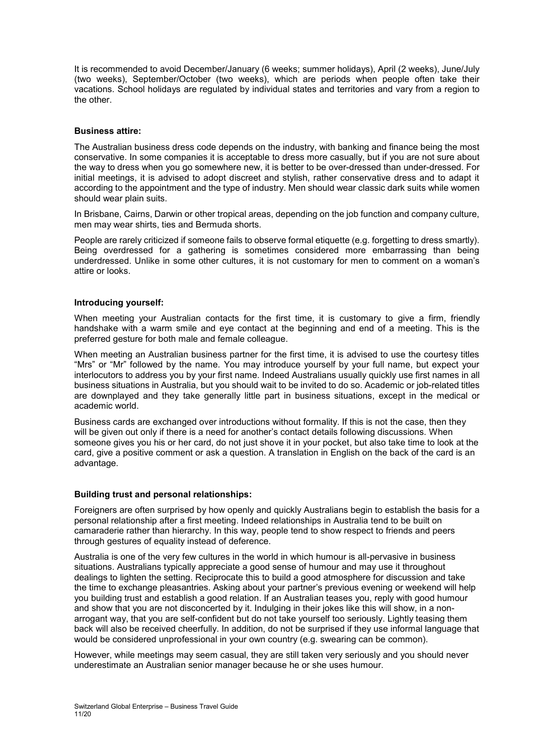It is recommended to avoid December/January (6 weeks; summer holidays), April (2 weeks), June/July (two weeks), September/October (two weeks), which are periods when people often take their vacations. School holidays are regulated by individual states and territories and vary from a region to the other.

## **Business attire:**

The Australian business dress code depends on the industry, with banking and finance being the most conservative. In some companies it is acceptable to dress more casually, but if you are not sure about the way to dress when you go somewhere new, it is better to be over-dressed than under-dressed. For initial meetings, it is advised to adopt discreet and stylish, rather conservative dress and to adapt it according to the appointment and the type of industry. Men should wear classic dark suits while women should wear plain suits.

In Brisbane, Cairns, Darwin or other tropical areas, depending on the job function and company culture, men may wear shirts, ties and Bermuda shorts.

People are rarely criticized if someone fails to observe formal etiquette (e.g. forgetting to dress smartly). Being overdressed for a gathering is sometimes considered more embarrassing than being underdressed. Unlike in some other cultures, it is not customary for men to comment on a woman's attire or looks.

## **Introducing yourself:**

When meeting your Australian contacts for the first time, it is customary to give a firm, friendly handshake with a warm smile and eye contact at the beginning and end of a meeting. This is the preferred gesture for both male and female colleague.

When meeting an Australian business partner for the first time, it is advised to use the courtesy titles "Mrs" or "Mr" followed by the name. You may introduce yourself by your full name, but expect your interlocutors to address you by your first name. Indeed Australians usually quickly use first names in all business situations in Australia, but you should wait to be invited to do so. Academic or job-related titles are downplayed and they take generally little part in business situations, except in the medical or academic world.

Business cards are exchanged over introductions without formality. If this is not the case, then they will be given out only if there is a need for another's contact details following discussions. When someone gives you his or her card, do not just shove it in your pocket, but also take time to look at the card, give a positive comment or ask a question. A translation in English on the back of the card is an advantage.

## **Building trust and personal relationships:**

Foreigners are often surprised by how openly and quickly Australians begin to establish the basis for a personal relationship after a first meeting. Indeed relationships in Australia tend to be built on camaraderie rather than hierarchy. In this way, people tend to show respect to friends and peers through gestures of equality instead of deference.

Australia is one of the very few cultures in the world in which humour is all-pervasive in business situations. Australians typically appreciate a good sense of humour and may use it throughout dealings to lighten the setting. Reciprocate this to build a good atmosphere for discussion and take the time to exchange pleasantries. Asking about your partner's previous evening or weekend will help you building trust and establish a good relation. If an Australian teases you, reply with good humour and show that you are not disconcerted by it. Indulging in their jokes like this will show, in a nonarrogant way, that you are self-confident but do not take yourself too seriously. Lightly teasing them back will also be received cheerfully. In addition, do not be surprised if they use informal language that would be considered unprofessional in your own country (e.g. swearing can be common).

However, while meetings may seem casual, they are still taken very seriously and you should never underestimate an Australian senior manager because he or she uses humour.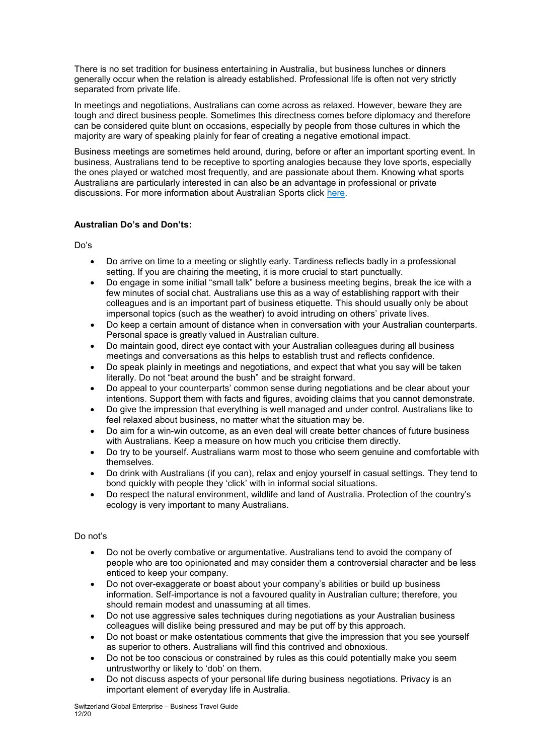There is no set tradition for business entertaining in Australia, but business lunches or dinners generally occur when the relation is already established. Professional life is often not very strictly separated from private life.

In meetings and negotiations, Australians can come across as relaxed. However, beware they are tough and direct business people. Sometimes this directness comes before diplomacy and therefore can be considered quite blunt on occasions, especially by people from those cultures in which the majority are wary of speaking plainly for fear of creating a negative emotional impact.

Business meetings are sometimes held around, during, before or after an important sporting event. In business, Australians tend to be receptive to sporting analogies because they love sports, especially the ones played or watched most frequently, and are passionate about them. Knowing what sports Australians are particularly interested in can also be an advantage in professional or private discussions. For more information about Australian Sports click [here.](https://en.wikipedia.org/wiki/Sport_in_Australia)

## **Australian Do's and Don'ts:**

Do's

- Do arrive on time to a meeting or slightly early. Tardiness reflects badly in a professional setting. If you are chairing the meeting, it is more crucial to start punctually.
- Do engage in some initial "small talk" before a business meeting begins, break the ice with a few minutes of social chat. Australians use this as a way of establishing rapport with their colleagues and is an important part of business etiquette. This should usually only be about impersonal topics (such as the weather) to avoid intruding on others' private lives.
- Do keep a certain amount of distance when in conversation with your Australian counterparts. Personal space is greatly valued in Australian culture.
- Do maintain good, direct eye contact with your Australian colleagues during all business meetings and conversations as this helps to establish trust and reflects confidence.
- Do speak plainly in meetings and negotiations, and expect that what you say will be taken literally. Do not "beat around the bush" and be straight forward.
- Do appeal to your counterparts' common sense during negotiations and be clear about your intentions. Support them with facts and figures, avoiding claims that you cannot demonstrate.
- Do give the impression that everything is well managed and under control. Australians like to feel relaxed about business, no matter what the situation may be.
- Do aim for a win-win outcome, as an even deal will create better chances of future business with Australians. Keep a measure on how much you criticise them directly.
- Do try to be yourself. Australians warm most to those who seem genuine and comfortable with themselves.
- Do drink with Australians (if you can), relax and enjoy yourself in casual settings. They tend to bond quickly with people they 'click' with in informal social situations.
- Do respect the natural environment, wildlife and land of Australia. Protection of the country's ecology is very important to many Australians.

## Do not's

- Do not be overly combative or argumentative. Australians tend to avoid the company of people who are too opinionated and may consider them a controversial character and be less enticed to keep your company.
- Do not over-exaggerate or boast about your company's abilities or build up business information. Self-importance is not a favoured quality in Australian culture; therefore, you should remain modest and unassuming at all times.
- Do not use aggressive sales techniques during negotiations as your Australian business colleagues will dislike being pressured and may be put off by this approach.
- Do not boast or make ostentatious comments that give the impression that you see yourself as superior to others. Australians will find this contrived and obnoxious.
- Do not be too conscious or constrained by rules as this could potentially make you seem untrustworthy or likely to 'dob' on them.
- Do not discuss aspects of your personal life during business negotiations. Privacy is an important element of everyday life in Australia.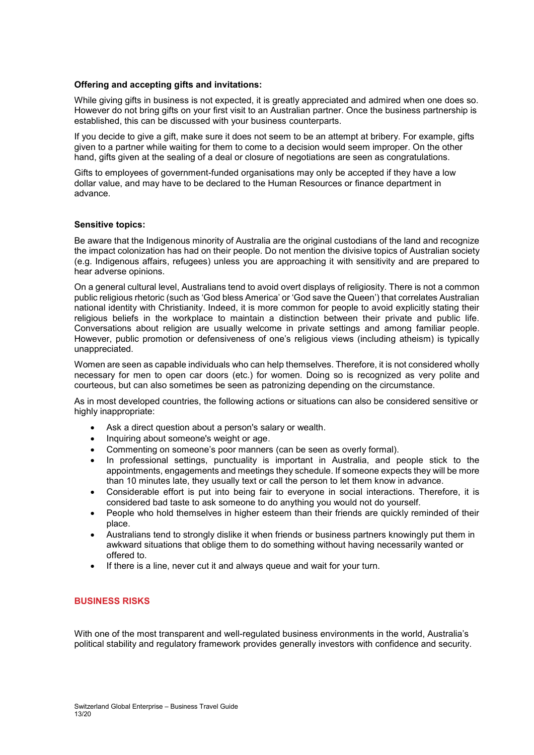## **Offering and accepting gifts and invitations:**

While giving gifts in business is not expected, it is greatly appreciated and admired when one does so. However do not bring gifts on your first visit to an Australian partner. Once the business partnership is established, this can be discussed with your business counterparts.

If you decide to give a gift, make sure it does not seem to be an attempt at bribery. For example, gifts given to a partner while waiting for them to come to a decision would seem improper. On the other hand, gifts given at the sealing of a deal or closure of negotiations are seen as congratulations.

Gifts to employees of government-funded organisations may only be accepted if they have a low dollar value, and may have to be declared to the Human Resources or finance department in advance.

#### **Sensitive topics:**

Be aware that the Indigenous minority of Australia are the original custodians of the land and recognize the impact colonization has had on their people. Do not mention the divisive topics of Australian society (e.g. Indigenous affairs, refugees) unless you are approaching it with sensitivity and are prepared to hear adverse opinions.

On a general cultural level, Australians tend to avoid overt displays of religiosity. There is not a common public religious rhetoric (such as 'God bless America' or 'God save the Queen') that correlates Australian national identity with Christianity. Indeed, it is more common for people to avoid explicitly stating their religious beliefs in the workplace to maintain a distinction between their private and public life. Conversations about religion are usually welcome in private settings and among familiar people. However, public promotion or defensiveness of one's religious views (including atheism) is typically unappreciated.

Women are seen as capable individuals who can help themselves. Therefore, it is not considered wholly necessary for men to open car doors (etc.) for women. Doing so is recognized as very polite and courteous, but can also sometimes be seen as patronizing depending on the circumstance.

As in most developed countries, the following actions or situations can also be considered sensitive or highly inappropriate:

- Ask a direct question about a person's salary or wealth.
- Inquiring about someone's weight or age.
- Commenting on someone's poor manners (can be seen as overly formal).
- In professional settings, punctuality is important in Australia, and people stick to the appointments, engagements and meetings they schedule. If someone expects they will be more than 10 minutes late, they usually text or call the person to let them know in advance.
- Considerable effort is put into being fair to everyone in social interactions. Therefore, it is considered bad taste to ask someone to do anything you would not do yourself.
- People who hold themselves in higher esteem than their friends are quickly reminded of their place.
- Australians tend to strongly dislike it when friends or business partners knowingly put them in awkward situations that oblige them to do something without having necessarily wanted or offered to.
- If there is a line, never cut it and always queue and wait for your turn.

## **BUSINESS RISKS**

With one of the most transparent and well-regulated business environments in the world, Australia's political stability and regulatory framework provides generally investors with confidence and security.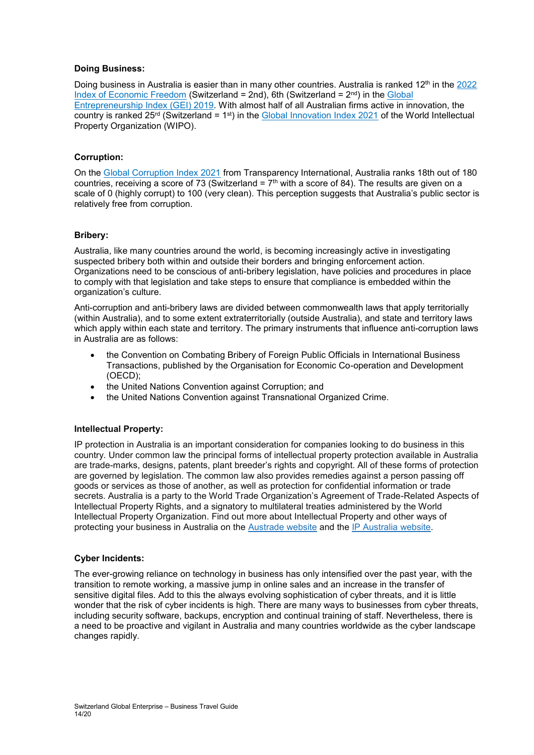## **Doing Business:**

Doing business in Australia is easier than in many other countries. Australia is ranked 12<sup>th</sup> in the 2022 [Index of Economic Freedom](https://www.heritage.org/index/ranking) (Switzerland = 2nd), 6th (Switzerland =  $2<sup>nd</sup>$ ) in the Global [Entrepreneurship Index \(GEI\) 2019.](https://thegedi.org/global-entrepreneurship-and-development-index/-) With almost half of all Australian firms active in innovation, the country is ranked  $25^{rd}$  (Switzerland = 1<sup>st</sup>) in the [Global Innovation Index 2021](https://www.wipo.int/edocs/pubdocs/en/wipo_pub_gii_2021.pdf) of the World Intellectual Property Organization (WIPO).

## **Corruption:**

On the [Global Corruption Index 2021](https://www.transparency.org/en/cpi/2021) from Transparency International, Australia ranks 18th out of 180 countries, receiving a score of 73 (Switzerland =  $7<sup>th</sup>$  with a score of 84). The results are given on a scale of 0 (highly corrupt) to 100 (very clean). This perception suggests that Australia's public sector is relatively free from corruption.

## **Bribery:**

Australia, like many countries around the world, is becoming increasingly active in investigating suspected bribery both within and outside their borders and bringing enforcement action. Organizations need to be conscious of anti-bribery legislation, have policies and procedures in place to comply with that legislation and take steps to ensure that compliance is embedded within the organization's culture.

Anti-corruption and anti-bribery laws are divided between commonwealth laws that apply territorially (within Australia), and to some extent extraterritorially (outside Australia), and state and territory laws which apply within each state and territory. The primary instruments that influence anti-corruption laws in Australia are as follows:

- the Convention on Combating Bribery of Foreign Public Officials in International Business Transactions, published by the Organisation for Economic Co-operation and Development (OECD);
- the United Nations Convention against Corruption; and
- the United Nations Convention against Transnational Organized Crime.

## **Intellectual Property:**

IP protection in Australia is an important consideration for companies looking to do business in this country. Under common law the principal forms of intellectual property protection available in Australia are trade-marks, designs, patents, plant breeder's rights and copyright. All of these forms of protection are governed by legislation. The common law also provides remedies against a person passing off goods or services as those of another, as well as protection for confidential information or trade secrets. Australia is a party to the World Trade Organization's Agreement of Trade-Related Aspects of Intellectual Property Rights, and a signatory to multilateral treaties administered by the World Intellectual Property Organization. Find out more about Intellectual Property and other ways of protecting your business in Australia on the [Austrade](http://www.austrade.gov.au/Invest/Doing-business-in-Australia/Investor-Guide/Running-a-business/Understanding-Australian-business-regulation/Australian-Intellectual-Property-laws/Australian-Intellectual-Property-laws) website and the IP [Australia](https://www.ipaustralia.gov.au/) website.

## **Cyber Incidents:**

The ever-growing reliance on technology in business has only intensified over the past year, with the transition to remote working, a massive jump in online sales and an increase in the transfer of sensitive digital files. Add to this the always evolving sophistication of cyber threats, and it is little wonder that the risk of cyber incidents is high. There are many ways to businesses from cyber threats, including security software, backups, encryption and continual training of staff. Nevertheless, there is a need to be proactive and vigilant in Australia and many countries worldwide as the cyber landscape changes rapidly.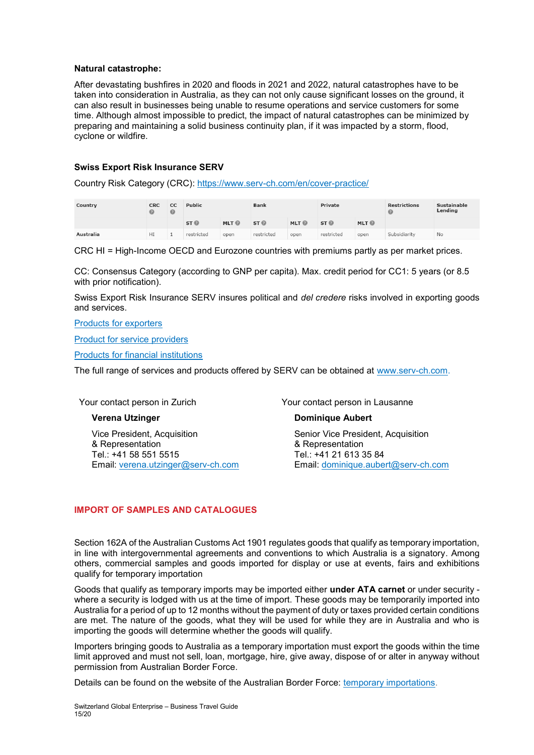## **Natural catastrophe:**

After devastating bushfires in 2020 and floods in 2021 and 2022, natural catastrophes have to be taken into consideration in Australia, as they can not only cause significant losses on the ground, it can also result in businesses being unable to resume operations and service customers for some time. Although almost impossible to predict, the impact of natural catastrophes can be minimized by preparing and maintaining a solid business continuity plan, if it was impacted by a storm, flood, cyclone or wildfire.

## **Swiss Export Risk Insurance SERV**

Country Risk Category (CRC): <https://www.serv-ch.com/en/cover-practice/>

| Country   | <b>CRC</b> | <sub>cc</sub><br>$\circ$ | Public          |                  | <b>Bank</b>     |                  | Private         |                  | <b>Restrictions</b><br>€ | Sustainable<br>Lending |
|-----------|------------|--------------------------|-----------------|------------------|-----------------|------------------|-----------------|------------------|--------------------------|------------------------|
|           |            |                          | ST <sup>°</sup> | MLT <sup>®</sup> | ST <sup>°</sup> | MLT <sup>O</sup> | ST <sup>°</sup> | MLT <sup>O</sup> |                          |                        |
| Australia | HI         |                          | restricted      | open             | restricted      | open             | restricted      | open             | Subsidiarity             | No                     |

CRC HI = High-Income OECD and Eurozone countries with premiums partly as per market prices.

CC: Consensus Category (according to GNP per capita). Max. credit period for CC1: 5 years (or 8.5 with prior notification).

Swiss Export Risk Insurance SERV insures political and *del credere* risks involved in exporting goods and services.

[Products for exporters](https://www.serv-ch.com/en/products/products-for-exporters/)

[Product for service providers](https://www.serv-ch.com/en/products/products-serviceproviders/)

[Products for financial institutions](https://www.serv-ch.com/en/products/productfinancing/)

The full range of services and products offered by SERV can be obtained at [www.serv-ch.com.](http://www.serv-ch.com/)

Your contact person in Zurich

## **Verena Utzinger**

Vice President, Acquisition & Representation Tel.: +41 58 551 5515 Email: [verena.utzinger@serv-ch.com](mailto:verena.utzinger@serv-ch.com) Your contact person in Lausanne

## **Dominique Aubert**

Senior Vice President, Acquisition & Representation Tel.: +41 21 613 35 84 Email: [dominique.aubert@serv-ch.com](mailto:dominique.aubert@serv-ch.com)

## **IMPORT OF SAMPLES AND CATALOGUES**

Section 162A of the Australian Customs Act 1901 regulates goods that qualify as temporary importation, in line with intergovernmental agreements and conventions to which Australia is a signatory. Among others, commercial samples and goods imported for display or use at events, fairs and exhibitions qualify for temporary importation

Goods that qualify as temporary imports may be imported either **under ATA carnet** or under security where a security is lodged with us at the time of import. These goods may be temporarily imported into Australia for a period of up to 12 months without the payment of duty or taxes provided certain conditions are met. The nature of the goods, what they will be used for while they are in Australia and who is importing the goods will determine whether the goods will qualify.

Importers bringing goods to Australia as a temporary importation must export the goods within the time limit approved and must not sell, loan, mortgage, hire, give away, dispose of or alter in anyway without permission from Australian Border Force.

Details can be found on the website of the Australian Border Force: [temporary importations.](https://www.abf.gov.au/importing-exporting-and-manufacturing/importing/how-to-import/temporary-imports)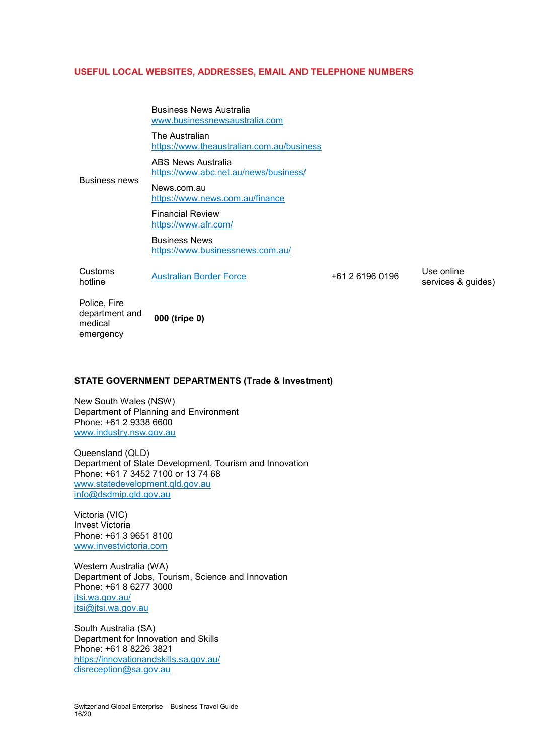## **USEFUL LOCAL WEBSITES, ADDRESSES, EMAIL AND TELEPHONE NUMBERS**

Business News Australia [www.businessnewsaustralia.com](http://www.businessnewsaustralia.com/)

The Australian <https://www.theaustralian.com.au/business>

ABS News Australia <https://www.abc.net.au/news/business/>

Business news News.com.au <https://www.news.com.au/finance>

> Financial Review <https://www.afr.com/>

Business News <https://www.businessnews.com.au/>

Customs hotline [Australian Border Force](https://www.abf.gov.au/help-and-support/contact-us/) +61 2 6196 0196 Use online

services & guides)

Police, Fire department and medical emergency **000 (tripe 0)**

## **STATE GOVERNMENT DEPARTMENTS (Trade & Investment)**

New South Wales (NSW) Department of Planning and Environment Phone: +61 2 9338 6600 [www.industry.nsw.gov.au](http://www.industry.nsw.gov.au/)

Queensland (QLD) Department of State Development, Tourism and Innovation Phone: +61 7 3452 7100 or 13 74 68 [www.statedevelopment.qld.gov.au](file://///fileSYD/Work/SYD/Open/5_Economy_Finan_Transp_Tour/55_Trade_promotion/551_By_CH/551.20_Switzerland_Global_Enterprise/551.2-07%20S-GE%20Trade%20Point%20Australia%20-%20Manual%20of%20Basic%20Services/2020/www.statedevelopment.qld.gov.au/our-department/state-development.html) [info@dsdmip.qld.gov.au](mailto:info@dsdmip.qld.gov.au)

Victoria (VIC) Invest Victoria Phone: +61 3 9651 8100 [www.investvictoria.com](http://www.investvictoria.com/)

Western Australia (WA) Department of Jobs, Tourism, Science and Innovation Phone: +61 8 6277 3000 [jtsi.wa.gov.au/](https://jtsi.wa.gov.au/) [jtsi@jtsi.wa.gov.au](mailto:jtsi@jtsi.wa.gov.au)

South Australia (SA) Department for Innovation and Skills Phone: +61 8 8226 3821 <https://innovationandskills.sa.gov.au/> [disreception@sa.gov.au](mailto:disreception@sa.gov.au)

Switzerland Global Enterprise – Business Travel Guide 16/20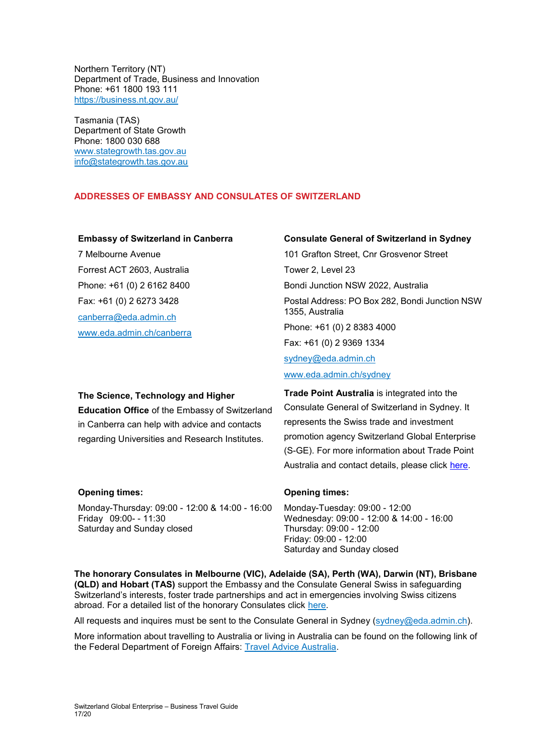Northern Territory (NT) Department of Trade, Business and Innovation Phone: +61 1800 193 111 <https://business.nt.gov.au/>

Tasmania (TAS) Department of State Growth Phone: 1800 030 688 [www.stategrowth.tas.gov.au](http://www.stategrowth.tas.gov.au/) [info@stategrowth.tas.gov.au](mailto:info@stategrowth.tas.gov.au)

## **ADDRESSES OF EMBASSY AND CONSULATES OF SWITZERLAND**

## **Embassy of Switzerland in Canberra**

7 Melbourne Avenue Forrest ACT 2603, Australia Phone: +61 (0) 2 6162 8400 Fax: +61 (0) 2 6273 3428 [canberra@eda.admin.ch](mailto:canberra@eda.admin.ch) [www.eda.admin.ch/canberra](http://www.eda.admin.ch/canberra)

## **Consulate General of Switzerland in Sydney**

101 Grafton Street, Cnr Grosvenor Street Tower 2, Level 23 Bondi Junction NSW 2022, Australia Postal Address: PO Box 282, Bondi Junction NSW 1355, Australia Phone: +61 (0) 2 8383 4000 Fax: +61 (0) 2 9369 1334 [sydney@eda.admin.ch](mailto:sydney@eda.admin.ch) [www.eda.admin.ch/sydney](http://www.eda.admin.ch/sydney)

# **The Science, Technology and Higher Education Office** of the Embassy of Switzerland in Canberra can help with advice and contacts regarding Universities and Research Institutes.

**Trade Point Australia** is integrated into the Consulate General of Switzerland in Sydney. It represents the Swiss trade and investment promotion agency Switzerland Global Enterprise (S-GE). For more information about Trade Point Australia and contact details, please click [here.](https://www.s-ge.com/en/company/trade-point-australia)

| <b>Opening times:</b>                                                   | <b>Opening times:</b>                                                          |
|-------------------------------------------------------------------------|--------------------------------------------------------------------------------|
| Monday-Thursday: 09:00 - 12:00 & 14:00 - 16:00<br>Friday 09:00- - 11:30 | Monday-Tuesday: 09:00 - 12:00<br>Wednesday: 09:00 - 12:00 & 14:00 - 16:00      |
| Saturday and Sunday closed                                              | Thursday: 09:00 - 12:00<br>Friday: 09:00 - 12:00<br>Saturday and Sunday closed |

**The honorary Consulates in Melbourne (VIC), Adelaide (SA), Perth (WA), Darwin (NT), Brisbane (QLD) and Hobart (TAS)** support the Embassy and the Consulate General Swiss in safeguarding Switzerland's interests, foster trade partnerships and act in emergencies involving Swiss citizens abroad. For a detailed list of the honorary Consulates click [here.](https://www.eda.admin.ch/countries/australia/en/home/representations/embassy-in-canberra/honorary-consulates.html)

All requests and inquires must be sent to the Consulate General in Sydney [\(sydney@eda.admin.ch\)](mailto:sydney@eda.admin.ch).

More information about travelling to Australia or living in Australia can be found on the following link of the Federal Department of Foreign Affairs: [Travel Advice Australia.](https://www.eda.admin.ch/eda/en/fdfa/representations-and-travel-advice/australia.html)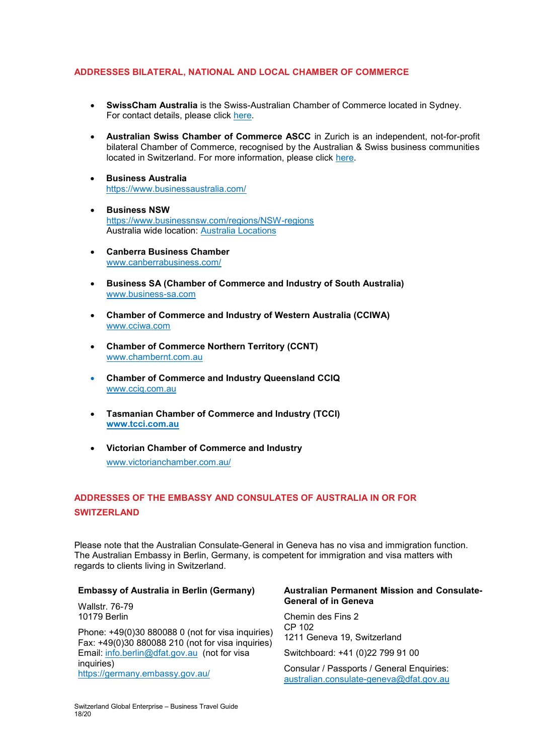## **ADDRESSES BILATERAL, NATIONAL AND LOCAL CHAMBER OF COMMERCE**

- **SwissCham Australia** is the Swiss-Australian Chamber of Commerce located in Sydney. For contact details, please click [here.](http://www.swisscham.com.au/)
- **Australian Swiss Chamber of Commerce ASCC** in Zurich is an independent, not-for-profit bilateral Chamber of Commerce, recognised by the Australian & Swiss business communities located in Switzerland. For more information, please click [here.](http://www.australianchamber.ch/)
- **Business Australia** <https://www.businessaustralia.com/>
- **Business NSW** <https://www.businessnsw.com/regions/NSW-regions> Australia wide location: [Australia Locations](https://www.businessaustralia.com/about-us/our-locations)
- **Canberra Business Chamber** [www.canberrabusiness.com/](http://www.canberrabusiness.com/)
- **Business SA (Chamber of Commerce and Industry of South Australia)** [www.business-sa.com](http://www.business-sa.com/)
- **Chamber of Commerce and Industry of Western Australia (CCIWA)** [www.cciwa.com](http://www.cciwa.com/)
- **Chamber of Commerce Northern Territory (CCNT)** [www.chambernt.com.au](http://www.chambernt.com.au/)
- **Chamber of Commerce and Industry Queensland CCIQ** [www.cciq.com.au](http://www.cciq.com.au/)
- **Tasmanian Chamber of Commerce and Industry (TCCI) [www.tcci.com.au](http://www.tcci.com.au/)**
- **Victorian Chamber of Commerce and Industry** [www.victorianchamber.com.au/](http://www.victorianchamber.com.au/)

## **ADDRESSES OF THE EMBASSY AND CONSULATES OF AUSTRALIA IN OR FOR SWITZERLAND**

Please note that the Australian Consulate-General in Geneva has no visa and immigration function. The Australian Embassy in Berlin, Germany, is competent for immigration and visa matters with regards to clients living in Switzerland.

## **Embassy of Australia in Berlin (Germany)**

Wallstr. 76-79 10179 Berlin

Phone: +49(0)30 880088 0 (not for visa inquiries) Fax: +49(0)30 880088 210 (not for visa inquiries) Email: [info.berlin@dfat.gov.au](mailto:info.berlin@dfat.gov.au) (not for visa inquiries) <https://germany.embassy.gov.au/>

## **Australian Permanent Mission and Consulate-General of in Geneva**

Chemin des Fins 2 CP 102 1211 Geneva 19, Switzerland

Switchboard: +41 (0)22 799 91 00

Consular / Passports / General Enquiries: [australian.consulate-geneva@dfat.gov.au](mailto:australian.consulate-geneva@dfat.gov.au)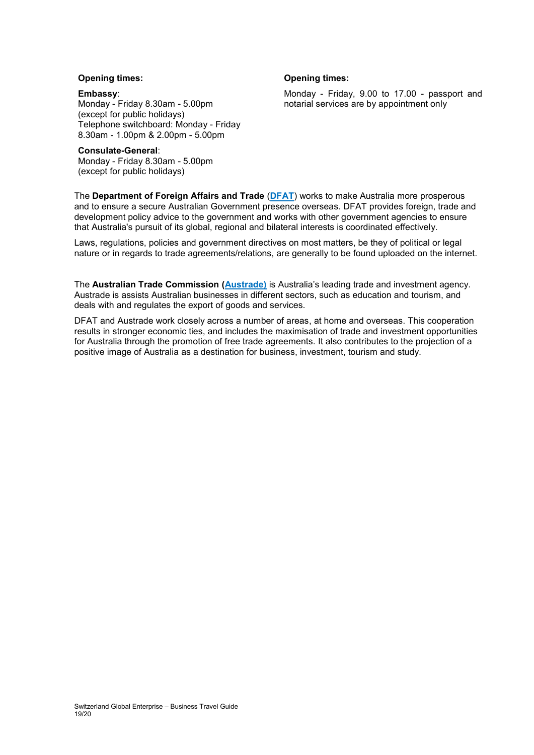## **Opening times:**

#### **Embassy**:

Monday - Friday 8.30am - 5.00pm (except for public holidays) Telephone switchboard: Monday - Friday 8.30am - 1.00pm & 2.00pm - 5.00pm

#### **Consulate-General**:

Monday - Friday 8.30am - 5.00pm (except for public holidays)

## **Opening times:**

Monday - Friday, 9.00 to 17.00 - passport and notarial services are by appointment only

The **Department of Foreign Affairs and Trade** (**[DFAT](https://www.dfat.gov.au/)**) works to make Australia more prosperous and to ensure a secure Australian Government presence overseas. DFAT provides foreign, trade and development policy advice to the government and works with other government agencies to ensure that Australia's pursuit of its global, regional and bilateral interests is coordinated effectively.

Laws, regulations, policies and government directives on most matters, be they of political or legal nature or in regards to trade agreements/relations, are generally to be found uploaded on the internet.

The **Australian Trade Commission [\(Austrade\)](http://www.austrade.gov.au/)** is Australia's leading trade and investment agency. Austrade is assists Australian businesses in different sectors, such as education and tourism, and deals with and regulates the export of goods and services.

DFAT and Austrade work closely across a number of areas, at home and overseas. This cooperation results in stronger economic ties, and includes the maximisation of trade and investment opportunities for Australia through the promotion of free trade agreements. It also contributes to the projection of a positive image of Australia as a destination for business, investment, tourism and study.